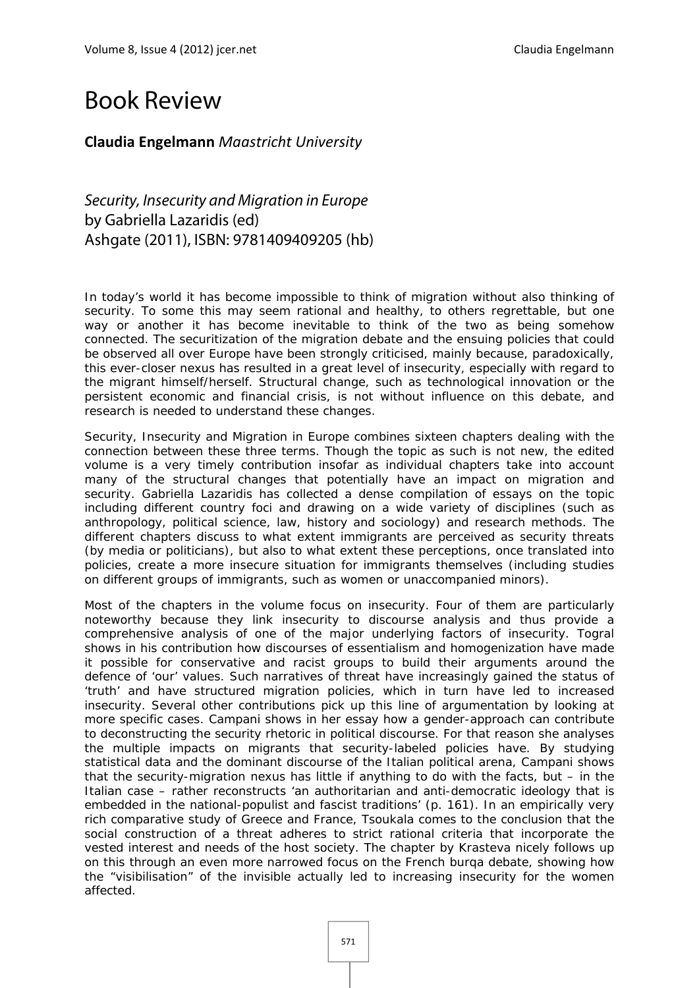## Book Review

## **Claudia Engelmann** *Maastricht University*

Security, Insecurity and Migration in Europe by Gabriella Lazaridis (ed) Ashgate (2011), ISBN: 9781409409205 (hb)

In today's world it has become impossible to think of migration without also thinking of security. To some this may seem rational and healthy, to others regrettable, but one way or another it has become inevitable to think of the two as being somehow connected. The securitization of the migration debate and the ensuing policies that could be observed all over Europe have been strongly criticised, mainly because, paradoxically, this ever-closer nexus has resulted in a great level of insecurity, especially with regard to the migrant himself/herself. Structural change, such as technological innovation or the persistent economic and financial crisis, is not without influence on this debate, and research is needed to understand these changes.

*Security, Insecurity and Migration in Europe* combines sixteen chapters dealing with the connection between these three terms. Though the topic as such is not new, the edited volume is a very timely contribution insofar as individual chapters take into account many of the structural changes that potentially have an impact on migration and security. Gabriella Lazaridis has collected a dense compilation of essays on the topic including different country foci and drawing on a wide variety of disciplines (such as anthropology, political science, law, history and sociology) and research methods. The different chapters discuss to what extent immigrants are perceived as security threats (by media or politicians), but also to what extent these perceptions, once translated into policies, create a more insecure situation for immigrants themselves (including studies on different groups of immigrants, such as women or unaccompanied minors).

Most of the chapters in the volume focus on insecurity. Four of them are particularly noteworthy because they link insecurity to discourse analysis and thus provide a comprehensive analysis of one of the major underlying factors of insecurity. Togral shows in his contribution how discourses of essentialism and homogenization have made it possible for conservative and racist groups to build their arguments around the defence of 'our' values. Such narratives of threat have increasingly gained the status of 'truth' and have structured migration policies, which in turn have led to increased insecurity. Several other contributions pick up this line of argumentation by looking at more specific cases. Campani shows in her essay how a gender-approach can contribute to deconstructing the security rhetoric in political discourse. For that reason she analyses the multiple impacts on migrants that security-labeled policies have. By studying statistical data and the dominant discourse of the Italian political arena, Campani shows that the security-migration nexus has little if anything to do with the facts, but – in the Italian case – rather reconstructs 'an authoritarian and anti-democratic ideology that is embedded in the national-populist and fascist traditions' (p. 161). In an empirically very rich comparative study of Greece and France, Tsoukala comes to the conclusion that the social construction of a threat adheres to strict rational criteria that incorporate the vested interest and needs of the host society. The chapter by Krasteva nicely follows up on this through an even more narrowed focus on the French burqa debate, showing how the "visibilisation" of the invisible actually led to increasing insecurity for the women affected.